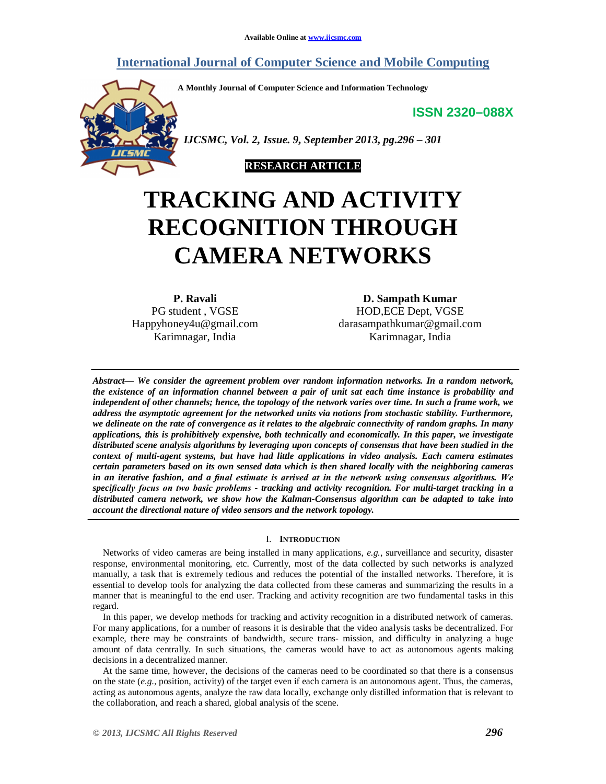## **International Journal of Computer Science and Mobile Computing**

**A Monthly Journal of Computer Science and Information Technology**

**ISSN 2320–088X**



 *IJCSMC, Vol. 2, Issue. 9, September 2013, pg.296 – 301*



# **TRACKING AND ACTIVITY RECOGNITION THROUGH CAMERA NETWORKS**

**P. Ravali** PG student , VGSE Happyhoney4u@gmail.com Karimnagar, India

**D. Sampath Kumar** HOD,ECE Dept, VGSE darasampathkumar@gmail.com Karimnagar, India

*Abstract— We consider the agreement problem over random information networks. In a random network, the existence of an information channel between a pair of unit sat each time instance is probability and independent of other channels; hence, the topology of the network varies over time. In such a frame work, we address the asymptotic agreement for the networked units via notions from stochastic stability. Furthermore, we delineate on the rate of convergence as it relates to the algebraic connectivity of random graphs. In many applications, this is prohibitively expensive, both technically and economically. In this paper, we investigate distributed scene analysis algorithms by leveraging upon concepts of consensus that have been studied in the context of multi-agent systems, but have had little applications in video analysis. Each camera estimates certain parameters based on its own sensed data which is then shared locally with the neighboring cameras in an iterative fashion, and a final estimate is arrived at in the network using consensus algorithms. We specifically focus on two basic problems - tracking and activity recognition. For multi-target tracking in a distributed camera network, we show how the Kalman-Consensus algorithm can be adapted to take into account the directional nature of video sensors and the network topology.*

#### I. **INTRODUCTION**

Networks of video cameras are being installed in many applications, *e.g.*, surveillance and security, disaster response, environmental monitoring, etc. Currently, most of the data collected by such networks is analyzed manually, a task that is extremely tedious and reduces the potential of the installed networks. Therefore, it is essential to develop tools for analyzing the data collected from these cameras and summarizing the results in a manner that is meaningful to the end user. Tracking and activity recognition are two fundamental tasks in this regard.

In this paper, we develop methods for tracking and activity recognition in a distributed network of cameras. For many applications, for a number of reasons it is desirable that the video analysis tasks be decentralized. For example, there may be constraints of bandwidth, secure trans- mission, and difficulty in analyzing a huge amount of data centrally. In such situations, the cameras would have to act as autonomous agents making decisions in a decentralized manner.

At the same time, however, the decisions of the cameras need to be coordinated so that there is a consensus on the state (*e.g.*, position, activity) of the target even if each camera is an autonomous agent. Thus, the cameras, acting as autonomous agents, analyze the raw data locally, exchange only distilled information that is relevant to the collaboration, and reach a shared, global analysis of the scene.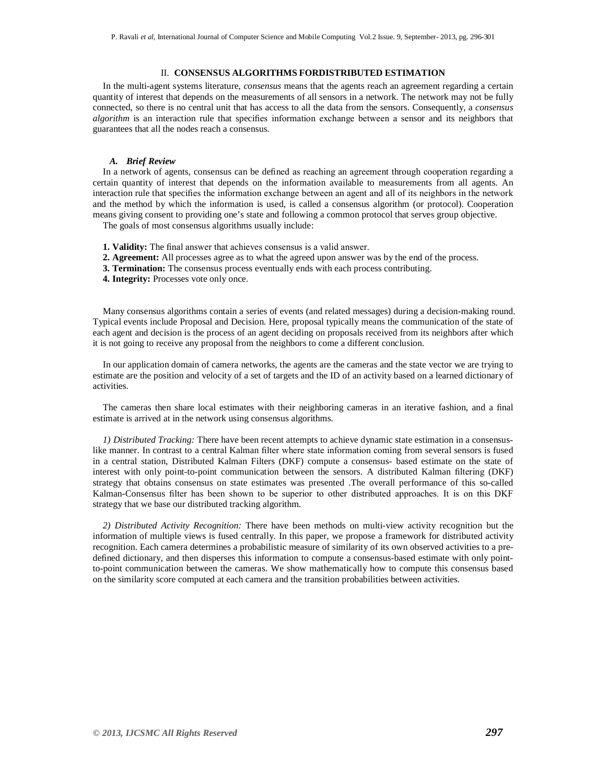#### II. **CONSENSUS ALGORITHMS FORDISTRIBUTED ESTIMATION**

In the multi-agent systems literature, *consensus* means that the agents reach an agreement regarding a certain quantity of interest that depends on the measurements of all sensors in a network. The network may not be fully connected, so there is no central unit that has access to all the data from the sensors. Consequently, a *consensus algorithm* is an interaction rule that specifies information exchange between a sensor and its neighbors that guarantees that all the nodes reach a consensus.

#### *A. Brief Review*

In a network of agents, consensus can be defined as reaching an agreement through cooperation regarding a certain quantity of interest that depends on the information available to measurements from all agents. An interaction rule that specifies the information exchange between an agent and all of its neighbors in the network and the method by which the information is used, is called a consensus algorithm (or protocol). Cooperation means giving consent to providing one's state and following a common protocol that serves group objective.

The goals of most consensus algorithms usually include:

- **1. Validity:** The final answer that achieves consensus is a valid answer.
- **2. Agreement:** All processes agree as to what the agreed upon answer was by the end of the process.
- **3. Termination:** The consensus process eventually ends with each process contributing.
- **4. Integrity:** Processes vote only once.

Many consensus algorithms contain a series of events (and related messages) during a decision-making round. Typical events include Proposal and Decision. Here, proposal typically means the communication of the state of each agent and decision is the process of an agent deciding on proposals received from its neighbors after which it is not going to receive any proposal from the neighbors to come a different conclusion.

In our application domain of camera networks, the agents are the cameras and the state vector we are trying to estimate are the position and velocity of a set of targets and the ID of an activity based on a learned dictionary of activities.

The cameras then share local estimates with their neighboring cameras in an iterative fashion, and a final estimate is arrived at in the network using consensus algorithms.

*1) Distributed Tracking:* There have been recent attempts to achieve dynamic state estimation in a consensuslike manner. In contrast to a central Kalman filter where state information coming from several sensors is fused in a central station, Distributed Kalman Filters (DKF) compute a consensus- based estimate on the state of interest with only point-to-point communication between the sensors. A distributed Kalman filtering (DKF) strategy that obtains consensus on state estimates was presented .The overall performance of this so-called Kalman-Consensus filter has been shown to be superior to other distributed approaches. It is on this DKF strategy that we base our distributed tracking algorithm.

*2) Distributed Activity Recognition:* There have been methods on multi-view activity recognition but the information of multiple views is fused centrally. In this paper, we propose a framework for distributed activity recognition. Each camera determines a probabilistic measure of similarity of its own observed activities to a predefined dictionary, and then disperses this information to compute a consensus-based estimate with only pointto-point communication between the cameras. We show mathematically how to compute this consensus based on the similarity score computed at each camera and the transition probabilities between activities.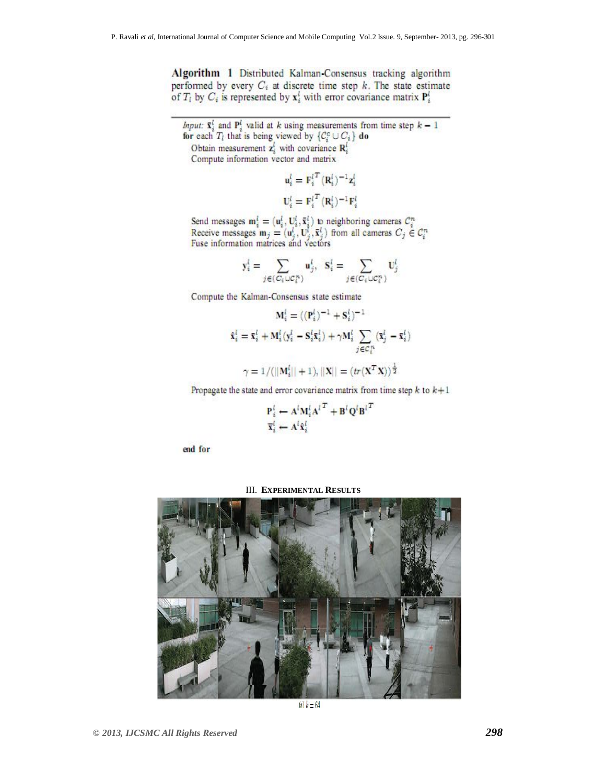Algorithm 1 Distributed Kalman-Consensus tracking algorithm performed by every  $C_i$  at discrete time step  $k$ . The state estimate of  $T_i$  by  $C_i$  is represented by  $x_i^i$  with error covariance matrix  $P_i^i$ 

*Input:*  $\bar{x}_i^l$  and  $P_i^l$  valid at k using measurements from time step  $k-1$ for each  $T_i$  that is being viewed by  $\{C_i^c \cup C_i\}$  do Obtain measurement  $z_i^l$  with covariance  $R_i^l$ Compute information vector and matrix

> $u_i^l = F_i^{lT} (R_i^l)^{-1} z_i^l$  $\mathbf{U}_i^l = {\mathbf{F}_i^l}^T (\mathbf{R}_i^l)^{-1} \mathbf{F}_i^l$

Send messages  $\mathbf{m}_i^l = (\mathbf{u}_i^l, \mathbf{U}_i^l, \bar{\mathbf{x}}_i^l)$  to neighboring cameras  $C_i^n$ <br>Receive messages  $\mathbf{m}_j = (\mathbf{u}_j^l, \mathbf{U}_j^l, \bar{\mathbf{x}}_j^l)$  from all cameras  $C_j \in C_i^n$ <br>Fuse information matrices and vectors

$$
\mathbf{y}_i^l = \sum_{j \in (C_i \cup C_i^n)} \mathbf{u}_j^l, \ \ \mathbf{S}_i^l = \sum_{j \in (C_i \cup C_i^n)} \mathbf{U}_j^l
$$

Compute the Kalman-Consensus state estimate

$$
\begin{aligned} \mathbf{M}_i^l &= \langle (\mathbf{P}_i^l)^{-1} + \mathbf{S}_i^l)^{-1} \\ \mathbf{\hat{x}}_i^l &= \mathbf{\bar{x}}_i^l + \mathbf{M}_i^l (\mathbf{y}_i^l - \mathbf{S}_i^l \mathbf{\bar{x}}_i^l) + \gamma \mathbf{M}_i^l \sum_{j \in C_i^R} (\mathbf{\bar{x}}_j^l - \mathbf{\bar{x}}_i^l) \\ \gamma &= 1/ (||\mathbf{M}_i^l|| + 1), ||\mathbf{X}|| = (tr(\mathbf{X}^T \mathbf{X}))^{\frac{1}{2}} \end{aligned}
$$

Propagate the state and error covariance matrix from time step  $k$  to  $k+1$ 

$$
\frac{\mathbf{P}_i^l \leftarrow \mathbf{A}^l \mathbf{M}_i^l {\mathbf{A}^l}^T + \mathbf{B}^l \mathbf{Q}^l \mathbf{B}^l}{\mathbf{X}_i^l \leftarrow \mathbf{A}^l \hat{\mathbf{x}}_i^l}
$$

end for

#### III. **EXPERIMENTAL RESULTS**



(a)  $k = 64$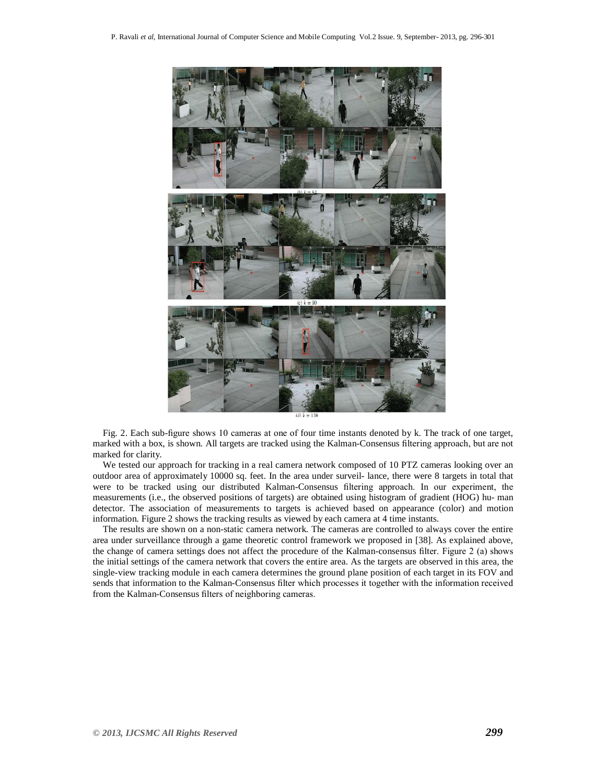

Fig. 2. Each sub-figure shows 10 cameras at one of four time instants denoted by k. The track of one target, marked with a box, is shown. All targets are tracked using the Kalman-Consensus filtering approach, but are not marked for clarity.

We tested our approach for tracking in a real camera network composed of 10 PTZ cameras looking over an outdoor area of approximately 10000 sq. feet. In the area under surveil- lance, there were 8 targets in total that were to be tracked using our distributed Kalman-Consensus filtering approach. In our experiment, the measurements (i.e., the observed positions of targets) are obtained using histogram of gradient (HOG) hu- man detector. The association of measurements to targets is achieved based on appearance (color) and motion information. Figure 2 shows the tracking results as viewed by each camera at 4 time instants.

The results are shown on a non-static camera network. The cameras are controlled to always cover the entire area under surveillance through a game theoretic control framework we proposed in [38]. As explained above, the change of camera settings does not affect the procedure of the Kalman-consensus filter. Figure 2 (a) shows the initial settings of the camera network that covers the entire area. As the targets are observed in this area, the single-view tracking module in each camera determines the ground plane position of each target in its FOV and sends that information to the Kalman-Consensus filter which processes it together with the information received from the Kalman-Consensus filters of neighboring cameras.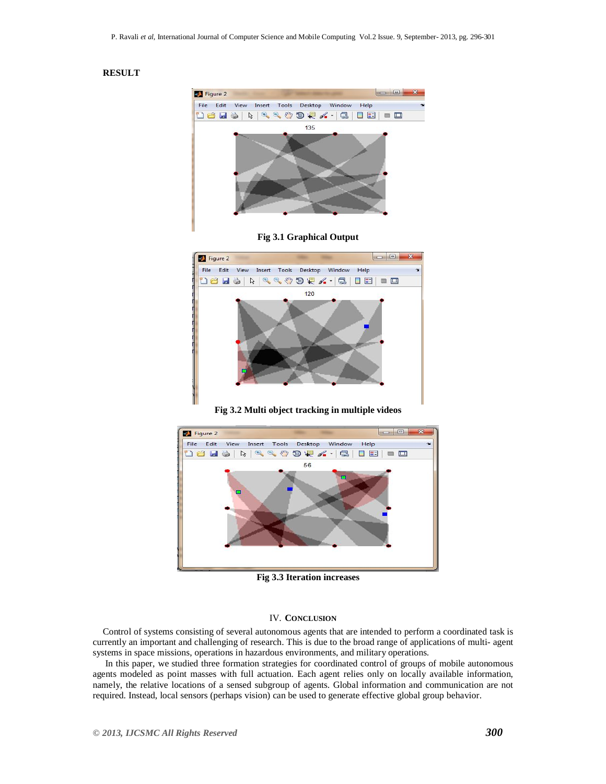### **RESULT**







**Fig 3.2 Multi object tracking in multiple videos**



**Fig 3.3 Iteration increases**

#### IV. **CONCLUSION**

Control of systems consisting of several autonomous agents that are intended to perform a coordinated task is currently an important and challenging of research. This is due to the broad range of applications of multi- agent systems in space missions, operations in hazardous environments, and military operations.

In this paper, we studied three formation strategies for coordinated control of groups of mobile autonomous agents modeled as point masses with full actuation. Each agent relies only on locally available information, namely, the relative locations of a sensed subgroup of agents. Global information and communication are not required. Instead, local sensors (perhaps vision) can be used to generate effective global group behavior.